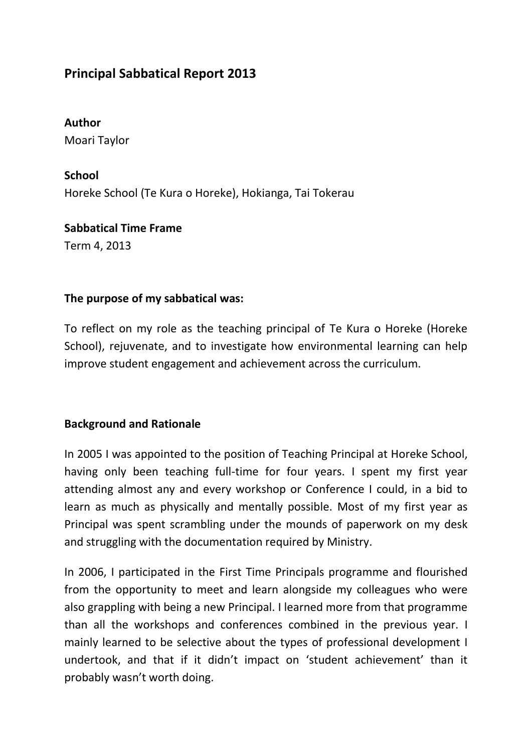# **Principal Sabbatical Report 2013**

**Author** Moari Taylor

**School** Horeke School (Te Kura o Horeke), Hokianga, Tai Tokerau

**Sabbatical Time Frame** Term 4, 2013

#### **The purpose of my sabbatical was:**

To reflect on my role as the teaching principal of Te Kura o Horeke (Horeke School), rejuvenate, and to investigate how environmental learning can help improve student engagement and achievement across the curriculum.

### **Background and Rationale**

In 2005 I was appointed to the position of Teaching Principal at Horeke School, having only been teaching full-time for four years. I spent my first year attending almost any and every workshop or Conference I could, in a bid to learn as much as physically and mentally possible. Most of my first year as Principal was spent scrambling under the mounds of paperwork on my desk and struggling with the documentation required by Ministry.

In 2006, I participated in the First Time Principals programme and flourished from the opportunity to meet and learn alongside my colleagues who were also grappling with being a new Principal. I learned more from that programme than all the workshops and conferences combined in the previous year. I mainly learned to be selective about the types of professional development I undertook, and that if it didn't impact on 'student achievement' than it probably wasn't worth doing.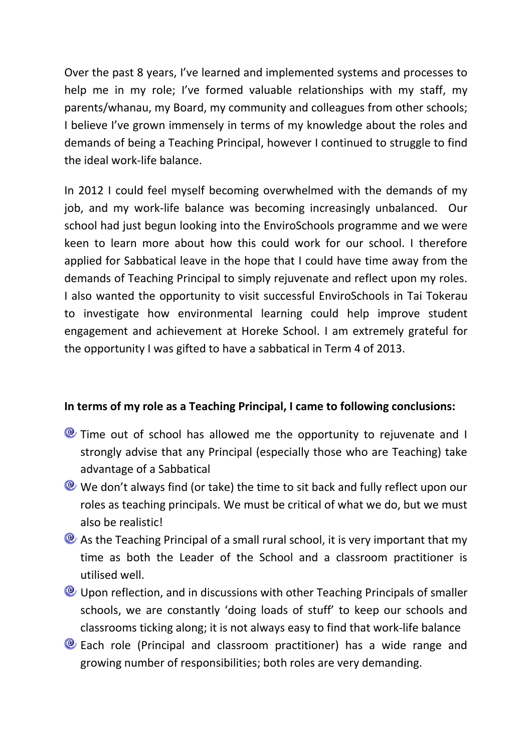Over the past 8 years, I've learned and implemented systems and processes to help me in my role; I've formed valuable relationships with my staff, my parents/whanau, my Board, my community and colleagues from other schools; I believe I've grown immensely in terms of my knowledge about the roles and demands of being a Teaching Principal, however I continued to struggle to find the ideal work-life balance.

In 2012 I could feel myself becoming overwhelmed with the demands of my job, and my work-life balance was becoming increasingly unbalanced. Our school had just begun looking into the EnviroSchools programme and we were keen to learn more about how this could work for our school. I therefore applied for Sabbatical leave in the hope that I could have time away from the demands of Teaching Principal to simply rejuvenate and reflect upon my roles. I also wanted the opportunity to visit successful EnviroSchools in Tai Tokerau to investigate how environmental learning could help improve student engagement and achievement at Horeke School. I am extremely grateful for the opportunity I was gifted to have a sabbatical in Term 4 of 2013.

### **In terms of my role as a Teaching Principal, I came to following conclusions:**

- **E** Time out of school has allowed me the opportunity to rejuvenate and I strongly advise that any Principal (especially those who are Teaching) take advantage of a Sabbatical
- We don't always find (or take) the time to sit back and fully reflect upon our roles as teaching principals. We must be critical of what we do, but we must also be realistic!
- **As the Teaching Principal of a small rural school, it is very important that my** time as both the Leader of the School and a classroom practitioner is utilised well.
- **E** Upon reflection, and in discussions with other Teaching Principals of smaller schools, we are constantly 'doing loads of stuff' to keep our schools and classrooms ticking along; it is not always easy to find that work-life balance
- Each role (Principal and classroom practitioner) has a wide range and growing number of responsibilities; both roles are very demanding.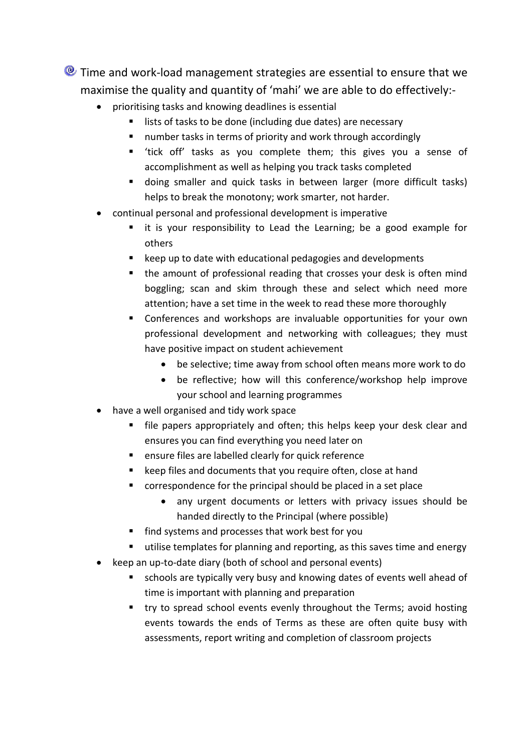**O** Time and work-load management strategies are essential to ensure that we maximise the quality and quantity of 'mahi' we are able to do effectively:-

- prioritising tasks and knowing deadlines is essential
	- lists of tasks to be done (including due dates) are necessary
	- number tasks in terms of priority and work through accordingly
	- 'tick off' tasks as you complete them; this gives you a sense of accomplishment as well as helping you track tasks completed
	- doing smaller and quick tasks in between larger (more difficult tasks) helps to break the monotony; work smarter, not harder.
- continual personal and professional development is imperative
	- it is your responsibility to Lead the Learning; be a good example for others
	- keep up to date with educational pedagogies and developments
	- the amount of professional reading that crosses your desk is often mind boggling; scan and skim through these and select which need more attention; have a set time in the week to read these more thoroughly
	- Conferences and workshops are invaluable opportunities for your own professional development and networking with colleagues; they must have positive impact on student achievement
		- be selective; time away from school often means more work to do
		- be reflective; how will this conference/workshop help improve your school and learning programmes
- have a well organised and tidy work space
	- file papers appropriately and often; this helps keep your desk clear and ensures you can find everything you need later on
	- ensure files are labelled clearly for quick reference
	- **E** keep files and documents that you require often, close at hand
	- correspondence for the principal should be placed in a set place
		- any urgent documents or letters with privacy issues should be handed directly to the Principal (where possible)
	- **find systems and processes that work best for you**
	- utilise templates for planning and reporting, as this saves time and energy
- keep an up-to-date diary (both of school and personal events)
	- schools are typically very busy and knowing dates of events well ahead of time is important with planning and preparation
	- try to spread school events evenly throughout the Terms; avoid hosting events towards the ends of Terms as these are often quite busy with assessments, report writing and completion of classroom projects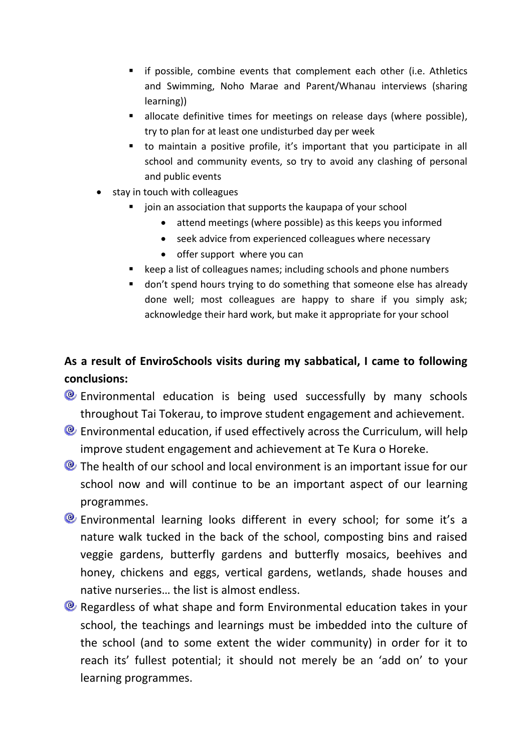- **i** if possible, combine events that complement each other (i.e. Athletics and Swimming, Noho Marae and Parent/Whanau interviews (sharing learning))
- **allocate definitive times for meetings on release days (where possible),** try to plan for at least one undisturbed day per week
- to maintain a positive profile, it's important that you participate in all school and community events, so try to avoid any clashing of personal and public events
- stay in touch with colleagues
	- $\blacksquare$  join an association that supports the kaupapa of your school
		- attend meetings (where possible) as this keeps you informed
		- seek advice from experienced colleagues where necessary
		- offer support where you can
	- keep a list of colleagues names; including schools and phone numbers
	- **don't spend hours trying to do something that someone else has already** done well; most colleagues are happy to share if you simply ask; acknowledge their hard work, but make it appropriate for your school

# **As a result of EnviroSchools visits during my sabbatical, I came to following conclusions:**

- Environmental education is being used successfully by many schools throughout Tai Tokerau, to improve student engagement and achievement.
- Environmental education, if used effectively across the Curriculum, will help improve student engagement and achievement at Te Kura o Horeke.
- **O** The health of our school and local environment is an important issue for our school now and will continue to be an important aspect of our learning programmes.
- Environmental learning looks different in every school; for some it's a nature walk tucked in the back of the school, composting bins and raised veggie gardens, butterfly gardens and butterfly mosaics, beehives and honey, chickens and eggs, vertical gardens, wetlands, shade houses and native nurseries… the list is almost endless.
- **E** Regardless of what shape and form Environmental education takes in your school, the teachings and learnings must be imbedded into the culture of the school (and to some extent the wider community) in order for it to reach its' fullest potential; it should not merely be an 'add on' to your learning programmes.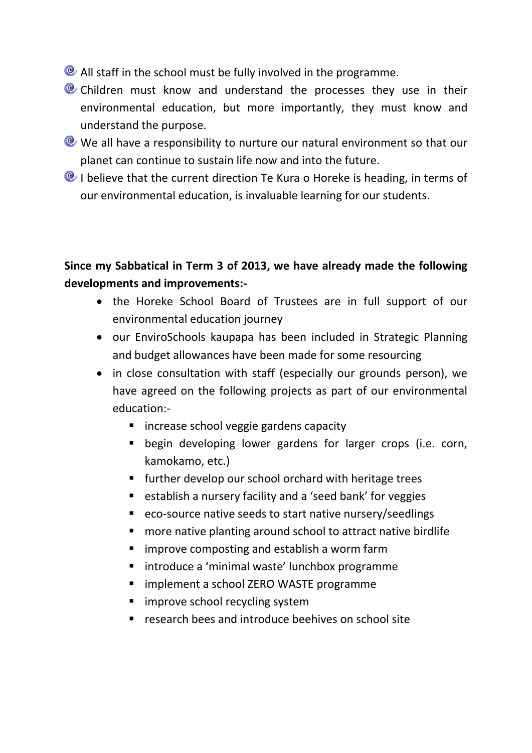- **All staff in the school must be fully involved in the programme.**
- **C** Children must know and understand the processes they use in their environmental education, but more importantly, they must know and understand the purpose.
- We all have a responsibility to nurture our natural environment so that our planet can continue to sustain life now and into the future.
- **Q** I believe that the current direction Te Kura o Horeke is heading, in terms of our environmental education, is invaluable learning for our students.

### **Since my Sabbatical in Term 3 of 2013, we have already made the following developments and improvements:-**

- the Horeke School Board of Trustees are in full support of our environmental education journey
- our EnviroSchools kaupapa has been included in Strategic Planning and budget allowances have been made for some resourcing
- in close consultation with staff (especially our grounds person), we have agreed on the following projects as part of our environmental education:-
	- **E** increase school veggie gardens capacity
	- begin developing lower gardens for larger crops (i.e. corn, kamokamo, etc.)
	- **further develop our school orchard with heritage trees**
	- establish a nursery facility and a 'seed bank' for veggies
	- eco-source native seeds to start native nursery/seedlings
	- more native planting around school to attract native birdlife
	- **I** improve composting and establish a worm farm
	- **I** introduce a 'minimal waste' lunchbox programme
	- **F** implement a school ZERO WASTE programme
	- **n** improve school recycling system
	- **F** research bees and introduce beehives on school site